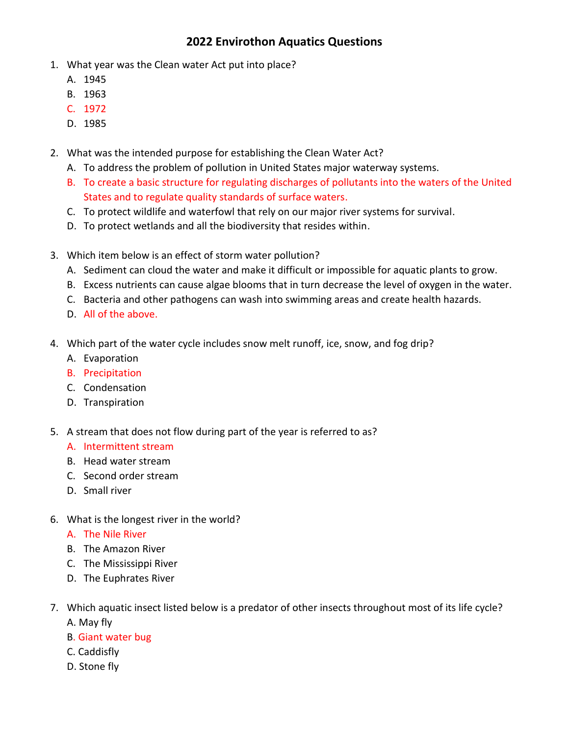## **2022 Envirothon Aquatics Questions**

- 1. What year was the Clean water Act put into place?
	- A. 1945
	- B. 1963
	- C. 1972
	- D. 1985
- 2. What was the intended purpose for establishing the Clean Water Act?
	- A. To address the problem of pollution in United States major waterway systems.
	- B. To create a basic structure for regulating discharges of pollutants into the waters of the United States and to regulate quality standards of surface waters.
	- C. To protect wildlife and waterfowl that rely on our major river systems for survival.
	- D. To protect wetlands and all the biodiversity that resides within.
- 3. Which item below is an effect of storm water pollution?
	- A. Sediment can cloud the water and make it difficult or impossible for aquatic plants to grow.
	- B. Excess nutrients can cause algae blooms that in turn decrease the level of oxygen in the water.
	- C. Bacteria and other pathogens can wash into swimming areas and create health hazards.
	- D. All of the above.
- 4. Which part of the water cycle includes snow melt runoff, ice, snow, and fog drip?
	- A. Evaporation
	- B. Precipitation
	- C. Condensation
	- D. Transpiration
- 5. A stream that does not flow during part of the year is referred to as?
	- A. Intermittent stream
	- B. Head water stream
	- C. Second order stream
	- D. Small river
- 6. What is the longest river in the world?
	- A. The Nile River
	- B. The Amazon River
	- C. The Mississippi River
	- D. The Euphrates River
- 7. Which aquatic insect listed below is a predator of other insects throughout most of its life cycle? A. May fly
	- B. Giant water bug
	- C. Caddisfly
	- D. Stone fly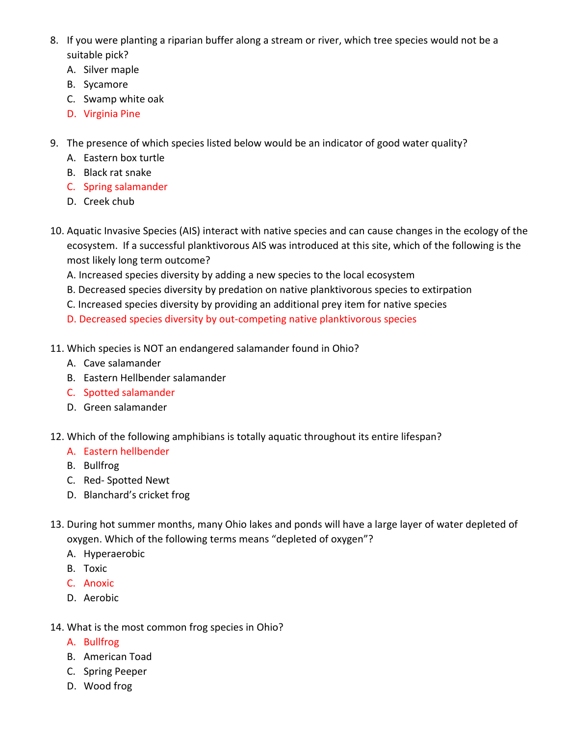- 8. If you were planting a riparian buffer along a stream or river, which tree species would not be a suitable pick?
	- A. Silver maple
	- B. Sycamore
	- C. Swamp white oak
	- D. Virginia Pine
- 9. The presence of which species listed below would be an indicator of good water quality?
	- A. Eastern box turtle
	- B. Black rat snake
	- C. Spring salamander
	- D. Creek chub
- 10. Aquatic Invasive Species (AIS) interact with native species and can cause changes in the ecology of the ecosystem. If a successful planktivorous AIS was introduced at this site, which of the following is the most likely long term outcome?
	- A. Increased species diversity by adding a new species to the local ecosystem
	- B. Decreased species diversity by predation on native planktivorous species to extirpation
	- C. Increased species diversity by providing an additional prey item for native species
	- D. Decreased species diversity by out-competing native planktivorous species
- 11. Which species is NOT an endangered salamander found in Ohio?
	- A. Cave salamander
	- B. Eastern Hellbender salamander
	- C. Spotted salamander
	- D. Green salamander
- 12. Which of the following amphibians is totally aquatic throughout its entire lifespan?
	- A. Eastern hellbender
	- B. Bullfrog
	- C. Red- Spotted Newt
	- D. Blanchard's cricket frog
- 13. During hot summer months, many Ohio lakes and ponds will have a large layer of water depleted of oxygen. Which of the following terms means "depleted of oxygen"?
	- A. Hyperaerobic
	- B. Toxic
	- C. Anoxic
	- D. Aerobic
- 14. What is the most common frog species in Ohio?
	- A. Bullfrog
	- B. American Toad
	- C. Spring Peeper
	- D. Wood frog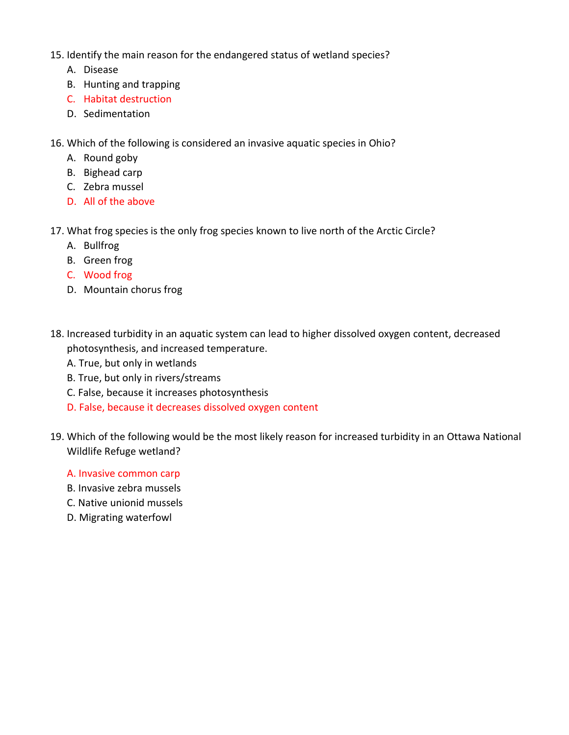- 15. Identify the main reason for the endangered status of wetland species?
	- A. Disease
	- B. Hunting and trapping
	- C. Habitat destruction
	- D. Sedimentation
- 16. Which of the following is considered an invasive aquatic species in Ohio?
	- A. Round goby
	- B. Bighead carp
	- C. Zebra mussel
	- D. All of the above
- 17. What frog species is the only frog species known to live north of the Arctic Circle?
	- A. Bullfrog
	- B. Green frog
	- C. Wood frog
	- D. Mountain chorus frog
- 18. Increased turbidity in an aquatic system can lead to higher dissolved oxygen content, decreased photosynthesis, and increased temperature.
	- A. True, but only in wetlands
	- B. True, but only in rivers/streams
	- C. False, because it increases photosynthesis
	- D. False, because it decreases dissolved oxygen content
- 19. Which of the following would be the most likely reason for increased turbidity in an Ottawa National Wildlife Refuge wetland?
	- A. Invasive common carp
	- B. Invasive zebra mussels
	- C. Native unionid mussels
	- D. Migrating waterfowl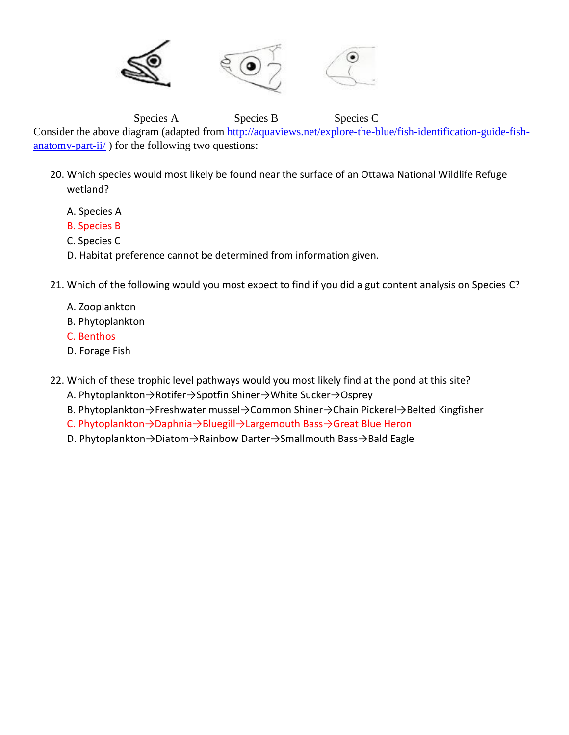

Species A Species B Species C

Consider the above diagram (adapted from [http://aquaviews.net/explore-the-blue/fish-identification-guide-fish-](http://aquaviews.net/explore-the-blue/fish-identification-guide-fish-anatomy-part-ii/) $\frac{\text{andomy-part-}ii'}{\text{or the following two questions}}$ 

- 20. Which species would most likely be found near the surface of an Ottawa National Wildlife Refuge wetland?
	- A. Species A
	- B. Species B
	- C. Species C
	- D. Habitat preference cannot be determined from information given.
- 21. Which of the following would you most expect to find if you did a gut content analysis on Species C?
	- A. Zooplankton
	- B. Phytoplankton
	- C. Benthos
	- D. Forage Fish
- 22. Which of these trophic level pathways would you most likely find at the pond at this site?
	- A. Phytoplankton→Rotifer→Spotfin Shiner→White Sucker→Osprey
	- B. Phytoplankton→Freshwater mussel→Common Shiner→Chain Pickerel→Belted Kingfisher
	- C. Phytoplankton→Daphnia→Bluegill→Largemouth Bass→Great Blue Heron
	- D. Phytoplankton→Diatom→Rainbow Darter→Smallmouth Bass→Bald Eagle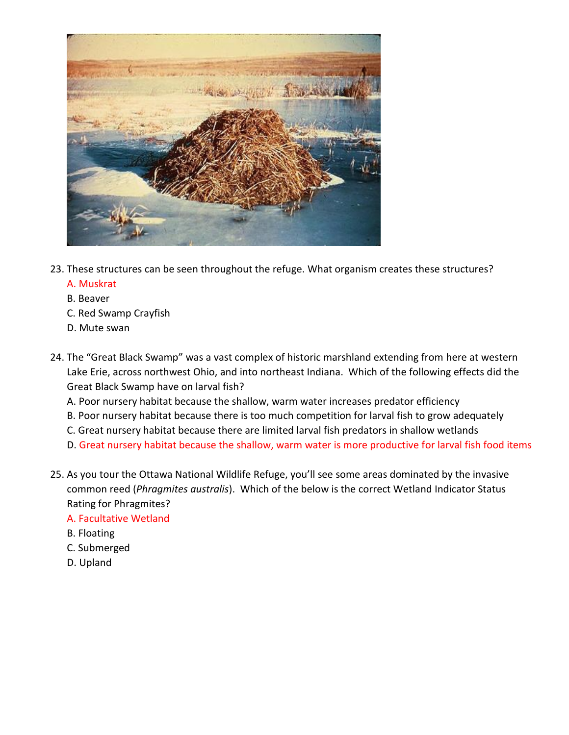

- 23. These structures can be seen throughout the refuge. What organism creates these structures?
	- A. Muskrat
	- B. Beaver
	- C. Red Swamp Crayfish
	- D. Mute swan
- 24. The "Great Black Swamp" was a vast complex of historic marshland extending from here at western Lake Erie, across northwest Ohio, and into northeast Indiana. Which of the following effects did the Great Black Swamp have on larval fish?
	- A. Poor nursery habitat because the shallow, warm water increases predator efficiency
	- B. Poor nursery habitat because there is too much competition for larval fish to grow adequately
	- C. Great nursery habitat because there are limited larval fish predators in shallow wetlands
	- D. Great nursery habitat because the shallow, warm water is more productive for larval fish food items
- 25. As you tour the Ottawa National Wildlife Refuge, you'll see some areas dominated by the invasive common reed (*Phragmites australis*). Which of the below is the correct Wetland Indicator Status Rating for Phragmites?

## A. Facultative Wetland

- B. Floating
- C. Submerged
- D. Upland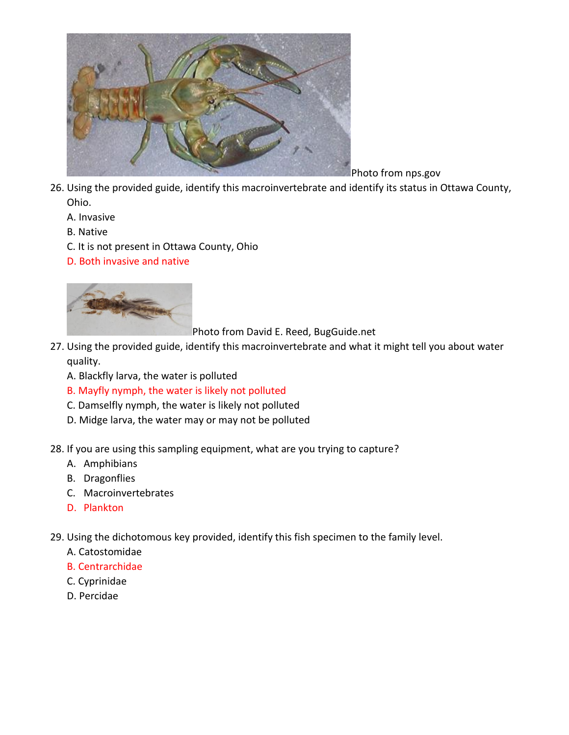

Photo from nps.gov

- 26. Using the provided guide, identify this macroinvertebrate and identify its status in Ottawa County, Ohio.
	- A. Invasive
	- B. Native
	- C. It is not present in Ottawa County, Ohio
	- D. Both invasive and native



Photo from David E. Reed, BugGuide.net

- 27. Using the provided guide, identify this macroinvertebrate and what it might tell you about water quality.
	- A. Blackfly larva, the water is polluted
	- B. Mayfly nymph, the water is likely not polluted
	- C. Damselfly nymph, the water is likely not polluted
	- D. Midge larva, the water may or may not be polluted
- 28. If you are using this sampling equipment, what are you trying to capture?
	- A. Amphibians
	- B. Dragonflies
	- C. Macroinvertebrates
	- D. Plankton
- 29. Using the dichotomous key provided, identify this fish specimen to the family level.
	- A. Catostomidae
	- B. Centrarchidae
	- C. Cyprinidae
	- D. Percidae